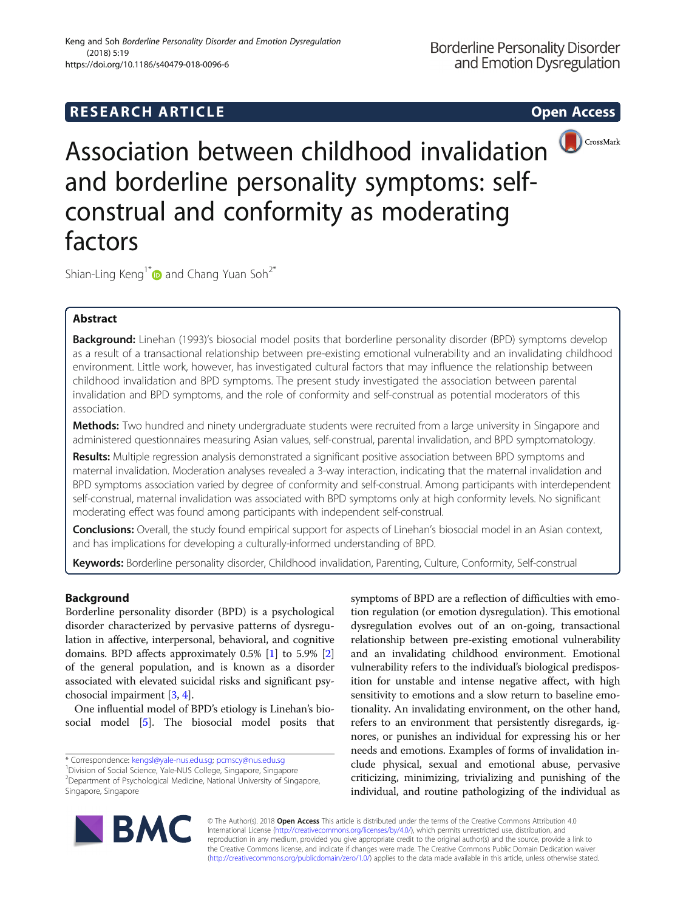# **RESEARCH ARTICLE Example 2014 12:30 The SEAR CH ACCESS**



Association between childhood invalidation and borderline personality symptoms: selfconstrual and conformity as moderating factors

Shian-Ling Keng<sup>1\*</sup> and Chang Yuan Soh<sup>2\*</sup>

# Abstract

Background: Linehan (1993)'s biosocial model posits that borderline personality disorder (BPD) symptoms develop as a result of a transactional relationship between pre-existing emotional vulnerability and an invalidating childhood environment. Little work, however, has investigated cultural factors that may influence the relationship between childhood invalidation and BPD symptoms. The present study investigated the association between parental invalidation and BPD symptoms, and the role of conformity and self-construal as potential moderators of this association.

Methods: Two hundred and ninety undergraduate students were recruited from a large university in Singapore and administered questionnaires measuring Asian values, self-construal, parental invalidation, and BPD symptomatology.

Results: Multiple regression analysis demonstrated a significant positive association between BPD symptoms and maternal invalidation. Moderation analyses revealed a 3-way interaction, indicating that the maternal invalidation and BPD symptoms association varied by degree of conformity and self-construal. Among participants with interdependent self-construal, maternal invalidation was associated with BPD symptoms only at high conformity levels. No significant moderating effect was found among participants with independent self-construal.

Conclusions: Overall, the study found empirical support for aspects of Linehan's biosocial model in an Asian context, and has implications for developing a culturally-informed understanding of BPD.

Keywords: Borderline personality disorder, Childhood invalidation, Parenting, Culture, Conformity, Self-construal

# Background

Borderline personality disorder (BPD) is a psychological disorder characterized by pervasive patterns of dysregulation in affective, interpersonal, behavioral, and cognitive domains. BPD affects approximately 0.5% [[1\]](#page-7-0) to 5.9% [[2](#page-7-0)] of the general population, and is known as a disorder associated with elevated suicidal risks and significant psychosocial impairment [[3,](#page-7-0) [4](#page-7-0)].

One influential model of BPD's etiology is Linehan's biosocial model [[5\]](#page-7-0). The biosocial model posits that

\* Correspondence: [kengsl@yale-nus.edu.sg](mailto:kengsl@yale-nus.edu.sg); [pcmscy@nus.edu.sg](mailto:pcmscy@nus.edu.sg) <sup>1</sup>

<sup>1</sup>Division of Social Science, Yale-NUS College, Singapore, Singapore 2 Department of Psychological Medicine, National University of Singapore, Singapore, Singapore

symptoms of BPD are a reflection of difficulties with emotion regulation (or emotion dysregulation). This emotional dysregulation evolves out of an on-going, transactional relationship between pre-existing emotional vulnerability and an invalidating childhood environment. Emotional vulnerability refers to the individual's biological predisposition for unstable and intense negative affect, with high sensitivity to emotions and a slow return to baseline emotionality. An invalidating environment, on the other hand, refers to an environment that persistently disregards, ignores, or punishes an individual for expressing his or her needs and emotions. Examples of forms of invalidation include physical, sexual and emotional abuse, pervasive criticizing, minimizing, trivializing and punishing of the individual, and routine pathologizing of the individual as



© The Author(s). 2018 Open Access This article is distributed under the terms of the Creative Commons Attribution 4.0 International License [\(http://creativecommons.org/licenses/by/4.0/](http://creativecommons.org/licenses/by/4.0/)), which permits unrestricted use, distribution, and reproduction in any medium, provided you give appropriate credit to the original author(s) and the source, provide a link to the Creative Commons license, and indicate if changes were made. The Creative Commons Public Domain Dedication waiver [\(http://creativecommons.org/publicdomain/zero/1.0/](http://creativecommons.org/publicdomain/zero/1.0/)) applies to the data made available in this article, unless otherwise stated.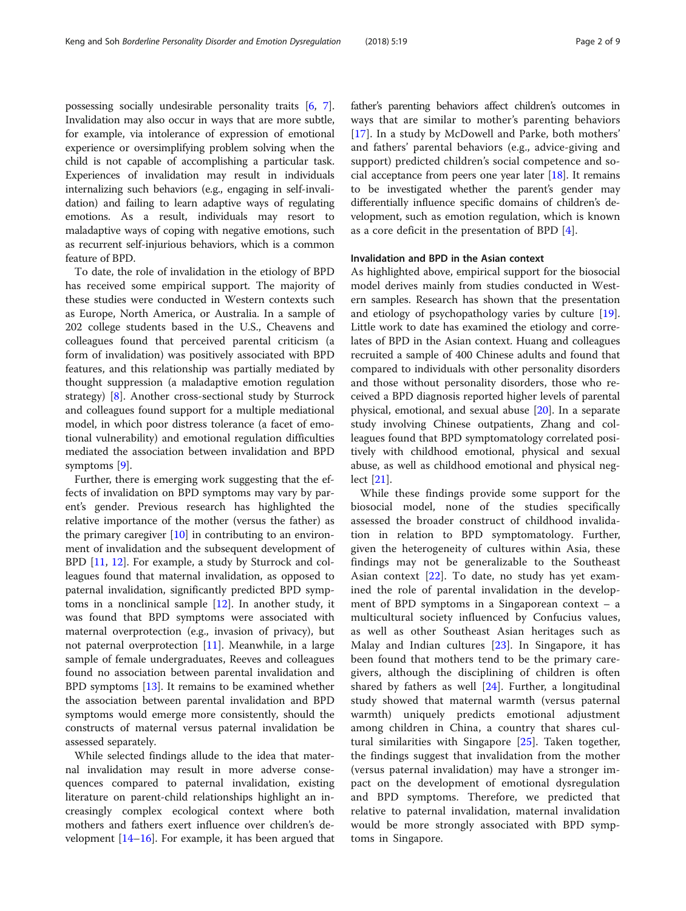possessing socially undesirable personality traits [\[6,](#page-7-0) [7](#page-7-0)]. Invalidation may also occur in ways that are more subtle, for example, via intolerance of expression of emotional experience or oversimplifying problem solving when the child is not capable of accomplishing a particular task. Experiences of invalidation may result in individuals internalizing such behaviors (e.g., engaging in self-invalidation) and failing to learn adaptive ways of regulating emotions. As a result, individuals may resort to maladaptive ways of coping with negative emotions, such as recurrent self-injurious behaviors, which is a common feature of BPD.

To date, the role of invalidation in the etiology of BPD has received some empirical support. The majority of these studies were conducted in Western contexts such as Europe, North America, or Australia. In a sample of 202 college students based in the U.S., Cheavens and colleagues found that perceived parental criticism (a form of invalidation) was positively associated with BPD features, and this relationship was partially mediated by thought suppression (a maladaptive emotion regulation strategy) [[8\]](#page-7-0). Another cross-sectional study by Sturrock and colleagues found support for a multiple mediational model, in which poor distress tolerance (a facet of emotional vulnerability) and emotional regulation difficulties mediated the association between invalidation and BPD symptoms [[9\]](#page-7-0).

Further, there is emerging work suggesting that the effects of invalidation on BPD symptoms may vary by parent's gender. Previous research has highlighted the relative importance of the mother (versus the father) as the primary caregiver  $[10]$  $[10]$  in contributing to an environment of invalidation and the subsequent development of BPD [[11,](#page-7-0) [12\]](#page-7-0). For example, a study by Sturrock and colleagues found that maternal invalidation, as opposed to paternal invalidation, significantly predicted BPD symptoms in a nonclinical sample [[12\]](#page-7-0). In another study, it was found that BPD symptoms were associated with maternal overprotection (e.g., invasion of privacy), but not paternal overprotection [\[11](#page-7-0)]. Meanwhile, in a large sample of female undergraduates, Reeves and colleagues found no association between parental invalidation and BPD symptoms [[13\]](#page-7-0). It remains to be examined whether the association between parental invalidation and BPD symptoms would emerge more consistently, should the constructs of maternal versus paternal invalidation be assessed separately.

While selected findings allude to the idea that maternal invalidation may result in more adverse consequences compared to paternal invalidation, existing literature on parent-child relationships highlight an increasingly complex ecological context where both mothers and fathers exert influence over children's development  $[14-16]$  $[14-16]$  $[14-16]$  $[14-16]$ . For example, it has been argued that father's parenting behaviors affect children's outcomes in ways that are similar to mother's parenting behaviors [[17](#page-8-0)]. In a study by McDowell and Parke, both mothers' and fathers' parental behaviors (e.g., advice-giving and support) predicted children's social competence and social acceptance from peers one year later  $[18]$ . It remains to be investigated whether the parent's gender may differentially influence specific domains of children's development, such as emotion regulation, which is known as a core deficit in the presentation of BPD [\[4](#page-7-0)].

### Invalidation and BPD in the Asian context

As highlighted above, empirical support for the biosocial model derives mainly from studies conducted in Western samples. Research has shown that the presentation and etiology of psychopathology varies by culture [\[19](#page-8-0)]. Little work to date has examined the etiology and correlates of BPD in the Asian context. Huang and colleagues recruited a sample of 400 Chinese adults and found that compared to individuals with other personality disorders and those without personality disorders, those who received a BPD diagnosis reported higher levels of parental physical, emotional, and sexual abuse [\[20](#page-8-0)]. In a separate study involving Chinese outpatients, Zhang and colleagues found that BPD symptomatology correlated positively with childhood emotional, physical and sexual abuse, as well as childhood emotional and physical neglect [\[21](#page-8-0)].

While these findings provide some support for the biosocial model, none of the studies specifically assessed the broader construct of childhood invalidation in relation to BPD symptomatology. Further, given the heterogeneity of cultures within Asia, these findings may not be generalizable to the Southeast Asian context [\[22\]](#page-8-0). To date, no study has yet examined the role of parental invalidation in the development of BPD symptoms in a Singaporean context – a multicultural society influenced by Confucius values, as well as other Southeast Asian heritages such as Malay and Indian cultures [[23\]](#page-8-0). In Singapore, it has been found that mothers tend to be the primary caregivers, although the disciplining of children is often shared by fathers as well [[24\]](#page-8-0). Further, a longitudinal study showed that maternal warmth (versus paternal warmth) uniquely predicts emotional adjustment among children in China, a country that shares cultural similarities with Singapore [[25](#page-8-0)]. Taken together, the findings suggest that invalidation from the mother (versus paternal invalidation) may have a stronger impact on the development of emotional dysregulation and BPD symptoms. Therefore, we predicted that relative to paternal invalidation, maternal invalidation would be more strongly associated with BPD symptoms in Singapore.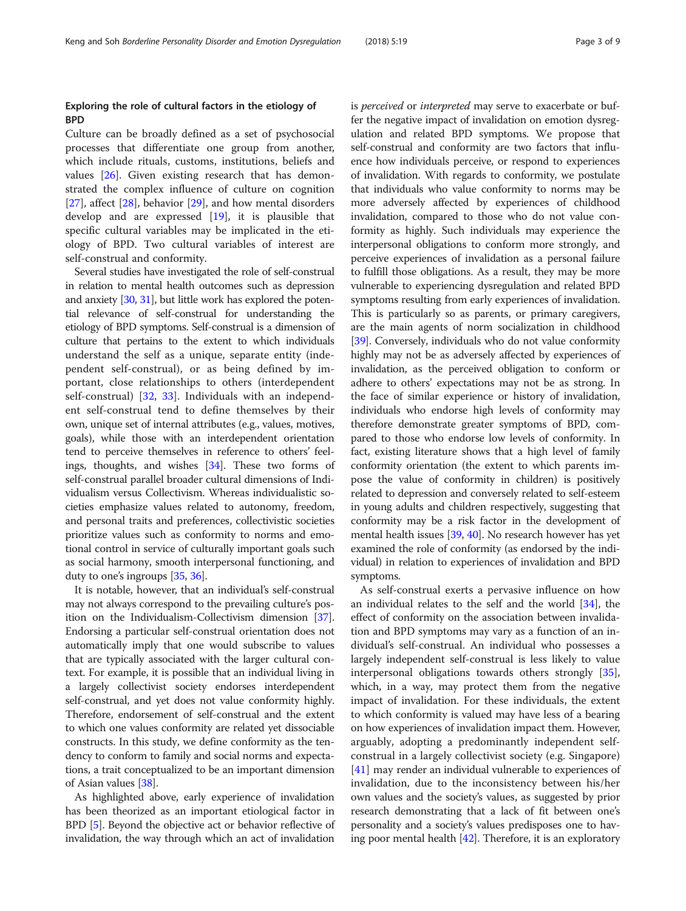### Exploring the role of cultural factors in the etiology of **BPD**

Culture can be broadly defined as a set of psychosocial processes that differentiate one group from another, which include rituals, customs, institutions, beliefs and values [\[26](#page-8-0)]. Given existing research that has demonstrated the complex influence of culture on cognition [[27\]](#page-8-0), affect [\[28](#page-8-0)], behavior [[29](#page-8-0)], and how mental disorders develop and are expressed [[19\]](#page-8-0), it is plausible that specific cultural variables may be implicated in the etiology of BPD. Two cultural variables of interest are self-construal and conformity.

Several studies have investigated the role of self-construal in relation to mental health outcomes such as depression and anxiety [\[30,](#page-8-0) [31](#page-8-0)], but little work has explored the potential relevance of self-construal for understanding the etiology of BPD symptoms. Self-construal is a dimension of culture that pertains to the extent to which individuals understand the self as a unique, separate entity (independent self-construal), or as being defined by important, close relationships to others (interdependent self-construal) [[32](#page-8-0), [33\]](#page-8-0). Individuals with an independent self-construal tend to define themselves by their own, unique set of internal attributes (e.g., values, motives, goals), while those with an interdependent orientation tend to perceive themselves in reference to others' feelings, thoughts, and wishes [\[34\]](#page-8-0). These two forms of self-construal parallel broader cultural dimensions of Individualism versus Collectivism. Whereas individualistic societies emphasize values related to autonomy, freedom, and personal traits and preferences, collectivistic societies prioritize values such as conformity to norms and emotional control in service of culturally important goals such as social harmony, smooth interpersonal functioning, and duty to one's ingroups [[35](#page-8-0), [36\]](#page-8-0).

It is notable, however, that an individual's self-construal may not always correspond to the prevailing culture's position on the Individualism-Collectivism dimension [[37](#page-8-0)]. Endorsing a particular self-construal orientation does not automatically imply that one would subscribe to values that are typically associated with the larger cultural context. For example, it is possible that an individual living in a largely collectivist society endorses interdependent self-construal, and yet does not value conformity highly. Therefore, endorsement of self-construal and the extent to which one values conformity are related yet dissociable constructs. In this study, we define conformity as the tendency to conform to family and social norms and expectations, a trait conceptualized to be an important dimension of Asian values [[38](#page-8-0)].

As highlighted above, early experience of invalidation has been theorized as an important etiological factor in BPD [[5\]](#page-7-0). Beyond the objective act or behavior reflective of invalidation, the way through which an act of invalidation is perceived or interpreted may serve to exacerbate or buffer the negative impact of invalidation on emotion dysregulation and related BPD symptoms. We propose that self-construal and conformity are two factors that influence how individuals perceive, or respond to experiences of invalidation. With regards to conformity, we postulate that individuals who value conformity to norms may be more adversely affected by experiences of childhood invalidation, compared to those who do not value conformity as highly. Such individuals may experience the interpersonal obligations to conform more strongly, and perceive experiences of invalidation as a personal failure to fulfill those obligations. As a result, they may be more vulnerable to experiencing dysregulation and related BPD symptoms resulting from early experiences of invalidation. This is particularly so as parents, or primary caregivers, are the main agents of norm socialization in childhood [[39](#page-8-0)]. Conversely, individuals who do not value conformity highly may not be as adversely affected by experiences of invalidation, as the perceived obligation to conform or adhere to others' expectations may not be as strong. In the face of similar experience or history of invalidation, individuals who endorse high levels of conformity may therefore demonstrate greater symptoms of BPD, compared to those who endorse low levels of conformity. In fact, existing literature shows that a high level of family conformity orientation (the extent to which parents impose the value of conformity in children) is positively related to depression and conversely related to self-esteem in young adults and children respectively, suggesting that conformity may be a risk factor in the development of mental health issues [\[39,](#page-8-0) [40](#page-8-0)]. No research however has yet examined the role of conformity (as endorsed by the individual) in relation to experiences of invalidation and BPD symptoms.

As self-construal exerts a pervasive influence on how an individual relates to the self and the world  $[34]$  $[34]$  $[34]$ , the effect of conformity on the association between invalidation and BPD symptoms may vary as a function of an individual's self-construal. An individual who possesses a largely independent self-construal is less likely to value interpersonal obligations towards others strongly [\[35](#page-8-0)], which, in a way, may protect them from the negative impact of invalidation. For these individuals, the extent to which conformity is valued may have less of a bearing on how experiences of invalidation impact them. However, arguably, adopting a predominantly independent selfconstrual in a largely collectivist society (e.g. Singapore) [[41\]](#page-8-0) may render an individual vulnerable to experiences of invalidation, due to the inconsistency between his/her own values and the society's values, as suggested by prior research demonstrating that a lack of fit between one's personality and a society's values predisposes one to having poor mental health [[42\]](#page-8-0). Therefore, it is an exploratory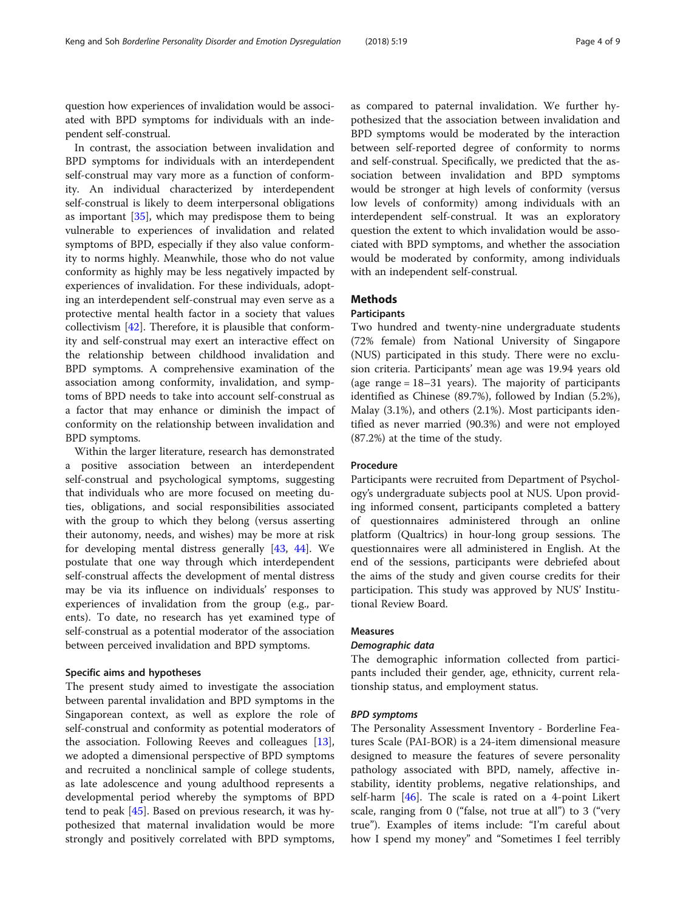question how experiences of invalidation would be associated with BPD symptoms for individuals with an independent self-construal.

In contrast, the association between invalidation and BPD symptoms for individuals with an interdependent self-construal may vary more as a function of conformity. An individual characterized by interdependent self-construal is likely to deem interpersonal obligations as important [[35](#page-8-0)], which may predispose them to being vulnerable to experiences of invalidation and related symptoms of BPD, especially if they also value conformity to norms highly. Meanwhile, those who do not value conformity as highly may be less negatively impacted by experiences of invalidation. For these individuals, adopting an interdependent self-construal may even serve as a protective mental health factor in a society that values collectivism [\[42](#page-8-0)]. Therefore, it is plausible that conformity and self-construal may exert an interactive effect on the relationship between childhood invalidation and BPD symptoms. A comprehensive examination of the association among conformity, invalidation, and symptoms of BPD needs to take into account self-construal as a factor that may enhance or diminish the impact of conformity on the relationship between invalidation and BPD symptoms.

Within the larger literature, research has demonstrated a positive association between an interdependent self-construal and psychological symptoms, suggesting that individuals who are more focused on meeting duties, obligations, and social responsibilities associated with the group to which they belong (versus asserting their autonomy, needs, and wishes) may be more at risk for developing mental distress generally [\[43,](#page-8-0) [44](#page-8-0)]. We postulate that one way through which interdependent self-construal affects the development of mental distress may be via its influence on individuals' responses to experiences of invalidation from the group (e.g., parents). To date, no research has yet examined type of self-construal as a potential moderator of the association between perceived invalidation and BPD symptoms.

### Specific aims and hypotheses

The present study aimed to investigate the association between parental invalidation and BPD symptoms in the Singaporean context, as well as explore the role of self-construal and conformity as potential moderators of the association. Following Reeves and colleagues [\[13](#page-7-0)], we adopted a dimensional perspective of BPD symptoms and recruited a nonclinical sample of college students, as late adolescence and young adulthood represents a developmental period whereby the symptoms of BPD tend to peak [[45](#page-8-0)]. Based on previous research, it was hypothesized that maternal invalidation would be more strongly and positively correlated with BPD symptoms,

as compared to paternal invalidation. We further hypothesized that the association between invalidation and BPD symptoms would be moderated by the interaction between self-reported degree of conformity to norms and self-construal. Specifically, we predicted that the association between invalidation and BPD symptoms would be stronger at high levels of conformity (versus low levels of conformity) among individuals with an interdependent self-construal. It was an exploratory question the extent to which invalidation would be associated with BPD symptoms, and whether the association would be moderated by conformity, among individuals with an independent self-construal.

### **Methods**

### Participants

Two hundred and twenty-nine undergraduate students (72% female) from National University of Singapore (NUS) participated in this study. There were no exclusion criteria. Participants' mean age was 19.94 years old (age range = 18–31 years). The majority of participants identified as Chinese (89.7%), followed by Indian (5.2%), Malay (3.1%), and others (2.1%). Most participants identified as never married (90.3%) and were not employed (87.2%) at the time of the study.

### Procedure

Participants were recruited from Department of Psychology's undergraduate subjects pool at NUS. Upon providing informed consent, participants completed a battery of questionnaires administered through an online platform (Qualtrics) in hour-long group sessions. The questionnaires were all administered in English. At the end of the sessions, participants were debriefed about the aims of the study and given course credits for their participation. This study was approved by NUS' Institutional Review Board.

#### Measures

#### Demographic data

The demographic information collected from participants included their gender, age, ethnicity, current relationship status, and employment status.

### BPD symptoms

The Personality Assessment Inventory - Borderline Features Scale (PAI-BOR) is a 24-item dimensional measure designed to measure the features of severe personality pathology associated with BPD, namely, affective instability, identity problems, negative relationships, and self-harm  $[46]$  $[46]$  $[46]$ . The scale is rated on a 4-point Likert scale, ranging from 0 ("false, not true at all") to 3 ("very true"). Examples of items include: "I'm careful about how I spend my money" and "Sometimes I feel terribly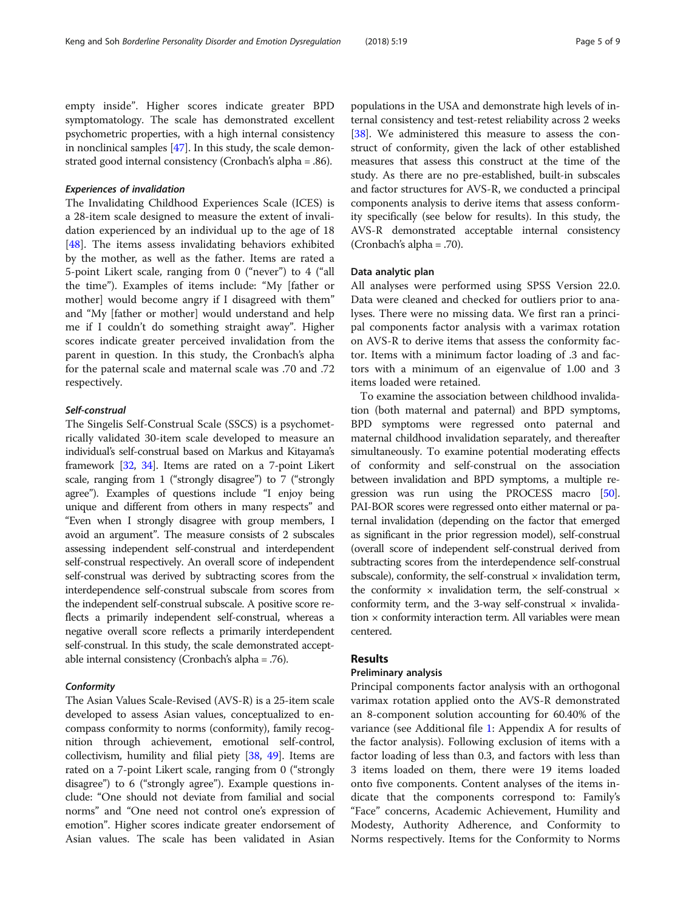empty inside". Higher scores indicate greater BPD symptomatology. The scale has demonstrated excellent psychometric properties, with a high internal consistency in nonclinical samples [[47](#page-8-0)]. In this study, the scale demonstrated good internal consistency (Cronbach's alpha = .86).

### Experiences of invalidation

The Invalidating Childhood Experiences Scale (ICES) is a 28-item scale designed to measure the extent of invalidation experienced by an individual up to the age of 18 [[48\]](#page-8-0). The items assess invalidating behaviors exhibited by the mother, as well as the father. Items are rated a 5-point Likert scale, ranging from 0 ("never") to 4 ("all the time"). Examples of items include: "My [father or mother] would become angry if I disagreed with them" and "My [father or mother] would understand and help me if I couldn't do something straight away". Higher scores indicate greater perceived invalidation from the parent in question. In this study, the Cronbach's alpha for the paternal scale and maternal scale was .70 and .72 respectively.

### Self-construal

The Singelis Self-Construal Scale (SSCS) is a psychometrically validated 30-item scale developed to measure an individual's self-construal based on Markus and Kitayama's framework [[32](#page-8-0), [34](#page-8-0)]. Items are rated on a 7-point Likert scale, ranging from 1 ("strongly disagree") to 7 ("strongly agree"). Examples of questions include "I enjoy being unique and different from others in many respects" and "Even when I strongly disagree with group members, I avoid an argument". The measure consists of 2 subscales assessing independent self-construal and interdependent self-construal respectively. An overall score of independent self-construal was derived by subtracting scores from the interdependence self-construal subscale from scores from the independent self-construal subscale. A positive score reflects a primarily independent self-construal, whereas a negative overall score reflects a primarily interdependent self-construal. In this study, the scale demonstrated acceptable internal consistency (Cronbach's alpha = .76).

### Conformity

The Asian Values Scale-Revised (AVS-R) is a 25-item scale developed to assess Asian values, conceptualized to encompass conformity to norms (conformity), family recognition through achievement, emotional self-control, collectivism, humility and filial piety [[38,](#page-8-0) [49\]](#page-8-0). Items are rated on a 7-point Likert scale, ranging from 0 ("strongly disagree") to 6 ("strongly agree"). Example questions include: "One should not deviate from familial and social norms" and "One need not control one's expression of emotion". Higher scores indicate greater endorsement of Asian values. The scale has been validated in Asian

populations in the USA and demonstrate high levels of internal consistency and test-retest reliability across 2 weeks [[38](#page-8-0)]. We administered this measure to assess the construct of conformity, given the lack of other established measures that assess this construct at the time of the study. As there are no pre-established, built-in subscales and factor structures for AVS-R, we conducted a principal components analysis to derive items that assess conformity specifically (see below for results). In this study, the AVS-R demonstrated acceptable internal consistency (Cronbach's alpha = .70).

#### Data analytic plan

All analyses were performed using SPSS Version 22.0. Data were cleaned and checked for outliers prior to analyses. There were no missing data. We first ran a principal components factor analysis with a varimax rotation on AVS-R to derive items that assess the conformity factor. Items with a minimum factor loading of .3 and factors with a minimum of an eigenvalue of 1.00 and 3 items loaded were retained.

To examine the association between childhood invalidation (both maternal and paternal) and BPD symptoms, BPD symptoms were regressed onto paternal and maternal childhood invalidation separately, and thereafter simultaneously. To examine potential moderating effects of conformity and self-construal on the association between invalidation and BPD symptoms, a multiple regression was run using the PROCESS macro [\[50](#page-8-0)]. PAI-BOR scores were regressed onto either maternal or paternal invalidation (depending on the factor that emerged as significant in the prior regression model), self-construal (overall score of independent self-construal derived from subtracting scores from the interdependence self-construal subscale), conformity, the self-construal  $\times$  invalidation term, the conformity  $\times$  invalidation term, the self-construal  $\times$ conformity term, and the 3-way self-construal  $\times$  invalidation  $\times$  conformity interaction term. All variables were mean centered.

### Results

### Preliminary analysis

Principal components factor analysis with an orthogonal varimax rotation applied onto the AVS-R demonstrated an 8-component solution accounting for 60.40% of the variance (see Additional file [1](#page-7-0): Appendix A for results of the factor analysis). Following exclusion of items with a factor loading of less than 0.3, and factors with less than 3 items loaded on them, there were 19 items loaded onto five components. Content analyses of the items indicate that the components correspond to: Family's "Face" concerns, Academic Achievement, Humility and Modesty, Authority Adherence, and Conformity to Norms respectively. Items for the Conformity to Norms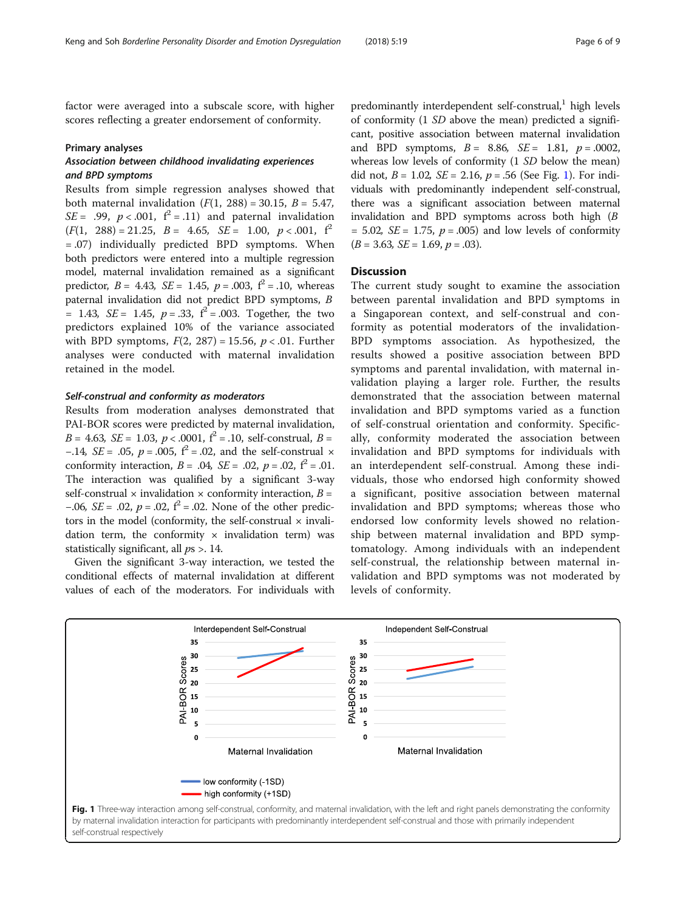factor were averaged into a subscale score, with higher scores reflecting a greater endorsement of conformity.

#### Primary analyses

### Association between childhood invalidating experiences and BPD symptoms

Results from simple regression analyses showed that both maternal invalidation  $(F(1, 288) = 30.15, B = 5.47,$  $SE = .99$ ,  $p < .001$ ,  $f^2 = .11$ ) and paternal invalidation  $(F(1, 288) = 21.25, B = 4.65, SE = 1.00, p < .001, f<sup>2</sup>$ = .07) individually predicted BPD symptoms. When both predictors were entered into a multiple regression model, maternal invalidation remained as a significant predictor,  $B = 4.43$ ,  $SE = 1.45$ ,  $p = .003$ ,  $f^2 = .10$ , whereas paternal invalidation did not predict BPD symptoms, B = 1.43,  $SE = 1.45$ ,  $p = .33$ ,  $f^2 = .003$ . Together, the two predictors explained 10% of the variance associated with BPD symptoms,  $F(2, 287) = 15.56$ ,  $p < .01$ . Further analyses were conducted with maternal invalidation retained in the model.

### Self-construal and conformity as moderators

Results from moderation analyses demonstrated that PAI-BOR scores were predicted by maternal invalidation,  $B = 4.63$ ,  $SE = 1.03$ ,  $p < .0001$ ,  $f^2 = .10$ , self-construal,  $B =$ −.14, *SE* = .05, *p* = .005,  $f^2$  = .02, and the self-construal  $\times$ conformity interaction,  $B = .04$ ,  $SE = .02$ ,  $p = .02$ ,  $f^2 = .01$ . The interaction was qualified by a significant 3-way self-construal  $\times$  invalidation  $\times$  conformity interaction,  $B =$ −.06,  $SE = .02$ ,  $p = .02$ ,  $f^2 = .02$ . None of the other predictors in the model (conformity, the self-construal  $\times$  invalidation term, the conformity  $\times$  invalidation term) was statistically significant, all  $ps > 14$ .

Given the significant 3-way interaction, we tested the conditional effects of maternal invalidation at different values of each of the moderators. For individuals with

predominantly interdependent self-construal, $1$  high levels of conformity (1 SD above the mean) predicted a significant, positive association between maternal invalidation and BPD symptoms,  $B = 8.86$ ,  $SE = 1.81$ ,  $p = .0002$ , whereas low levels of conformity (1 SD below the mean) did not,  $B = 1.02$ ,  $SE = 2.16$ ,  $p = .56$  (See Fig. 1). For individuals with predominantly independent self-construal, there was a significant association between maternal invalidation and BPD symptoms across both high (B  $= 5.02$ ,  $SE = 1.75$ ,  $p = .005$ ) and low levels of conformity  $(B = 3.63, SE = 1.69, p = .03).$ 

### **Discussion**

The current study sought to examine the association between parental invalidation and BPD symptoms in a Singaporean context, and self-construal and conformity as potential moderators of the invalidation-BPD symptoms association. As hypothesized, the results showed a positive association between BPD symptoms and parental invalidation, with maternal invalidation playing a larger role. Further, the results demonstrated that the association between maternal invalidation and BPD symptoms varied as a function of self-construal orientation and conformity. Specifically, conformity moderated the association between invalidation and BPD symptoms for individuals with an interdependent self-construal. Among these individuals, those who endorsed high conformity showed a significant, positive association between maternal invalidation and BPD symptoms; whereas those who endorsed low conformity levels showed no relationship between maternal invalidation and BPD symptomatology. Among individuals with an independent self-construal, the relationship between maternal invalidation and BPD symptoms was not moderated by levels of conformity.

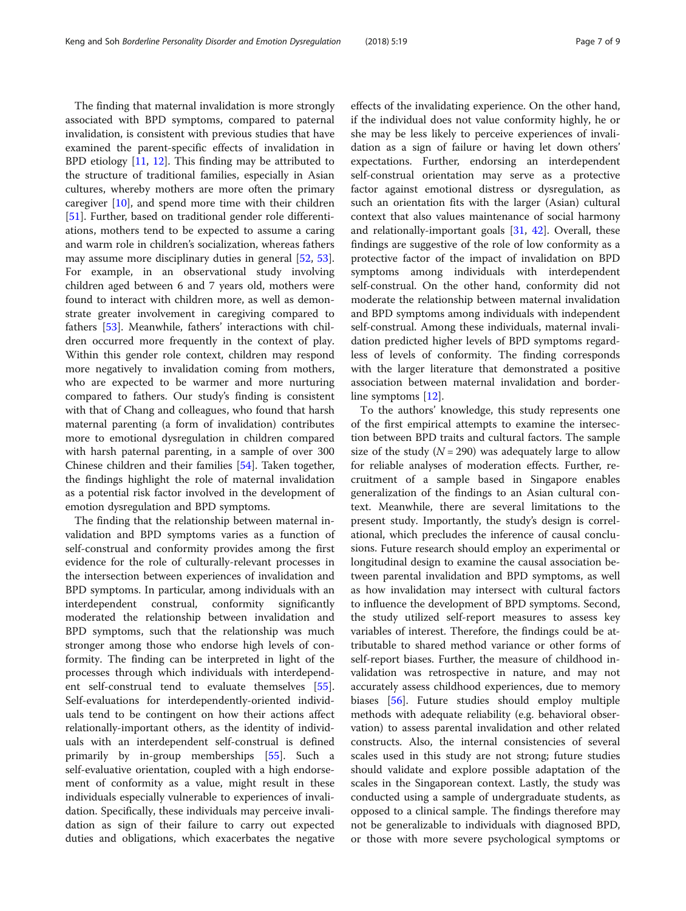The finding that maternal invalidation is more strongly associated with BPD symptoms, compared to paternal invalidation, is consistent with previous studies that have examined the parent-specific effects of invalidation in BPD etiology [\[11](#page-7-0), [12\]](#page-7-0). This finding may be attributed to the structure of traditional families, especially in Asian cultures, whereby mothers are more often the primary caregiver [\[10](#page-7-0)], and spend more time with their children [[51\]](#page-8-0). Further, based on traditional gender role differentiations, mothers tend to be expected to assume a caring and warm role in children's socialization, whereas fathers may assume more disciplinary duties in general [\[52,](#page-8-0) [53](#page-8-0)]. For example, in an observational study involving children aged between 6 and 7 years old, mothers were found to interact with children more, as well as demonstrate greater involvement in caregiving compared to fathers [[53\]](#page-8-0). Meanwhile, fathers' interactions with children occurred more frequently in the context of play. Within this gender role context, children may respond more negatively to invalidation coming from mothers, who are expected to be warmer and more nurturing compared to fathers. Our study's finding is consistent with that of Chang and colleagues, who found that harsh maternal parenting (a form of invalidation) contributes more to emotional dysregulation in children compared with harsh paternal parenting, in a sample of over 300 Chinese children and their families [\[54](#page-8-0)]. Taken together, the findings highlight the role of maternal invalidation as a potential risk factor involved in the development of emotion dysregulation and BPD symptoms.

The finding that the relationship between maternal invalidation and BPD symptoms varies as a function of self-construal and conformity provides among the first evidence for the role of culturally-relevant processes in the intersection between experiences of invalidation and BPD symptoms. In particular, among individuals with an interdependent construal, conformity significantly moderated the relationship between invalidation and BPD symptoms, such that the relationship was much stronger among those who endorse high levels of conformity. The finding can be interpreted in light of the processes through which individuals with interdependent self-construal tend to evaluate themselves [\[55](#page-8-0)]. Self-evaluations for interdependently-oriented individuals tend to be contingent on how their actions affect relationally-important others, as the identity of individuals with an interdependent self-construal is defined primarily by in-group memberships [[55\]](#page-8-0). Such a self-evaluative orientation, coupled with a high endorsement of conformity as a value, might result in these individuals especially vulnerable to experiences of invalidation. Specifically, these individuals may perceive invalidation as sign of their failure to carry out expected duties and obligations, which exacerbates the negative

effects of the invalidating experience. On the other hand, if the individual does not value conformity highly, he or she may be less likely to perceive experiences of invalidation as a sign of failure or having let down others' expectations. Further, endorsing an interdependent self-construal orientation may serve as a protective factor against emotional distress or dysregulation, as such an orientation fits with the larger (Asian) cultural context that also values maintenance of social harmony and relationally-important goals [[31,](#page-8-0) [42\]](#page-8-0). Overall, these findings are suggestive of the role of low conformity as a protective factor of the impact of invalidation on BPD symptoms among individuals with interdependent self-construal. On the other hand, conformity did not moderate the relationship between maternal invalidation and BPD symptoms among individuals with independent self-construal. Among these individuals, maternal invalidation predicted higher levels of BPD symptoms regardless of levels of conformity. The finding corresponds with the larger literature that demonstrated a positive association between maternal invalidation and borderline symptoms [[12](#page-7-0)].

To the authors' knowledge, this study represents one of the first empirical attempts to examine the intersection between BPD traits and cultural factors. The sample size of the study ( $N = 290$ ) was adequately large to allow for reliable analyses of moderation effects. Further, recruitment of a sample based in Singapore enables generalization of the findings to an Asian cultural context. Meanwhile, there are several limitations to the present study. Importantly, the study's design is correlational, which precludes the inference of causal conclusions. Future research should employ an experimental or longitudinal design to examine the causal association between parental invalidation and BPD symptoms, as well as how invalidation may intersect with cultural factors to influence the development of BPD symptoms. Second, the study utilized self-report measures to assess key variables of interest. Therefore, the findings could be attributable to shared method variance or other forms of self-report biases. Further, the measure of childhood invalidation was retrospective in nature, and may not accurately assess childhood experiences, due to memory biases [[56](#page-8-0)]. Future studies should employ multiple methods with adequate reliability (e.g. behavioral observation) to assess parental invalidation and other related constructs. Also, the internal consistencies of several scales used in this study are not strong; future studies should validate and explore possible adaptation of the scales in the Singaporean context. Lastly, the study was conducted using a sample of undergraduate students, as opposed to a clinical sample. The findings therefore may not be generalizable to individuals with diagnosed BPD, or those with more severe psychological symptoms or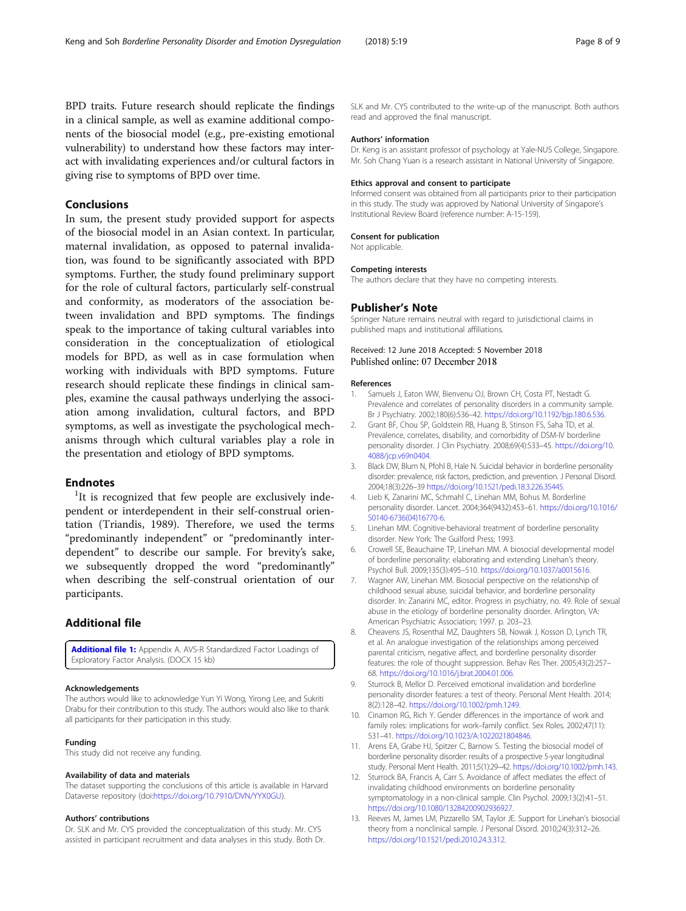<span id="page-7-0"></span>BPD traits. Future research should replicate the findings in a clinical sample, as well as examine additional components of the biosocial model (e.g., pre-existing emotional vulnerability) to understand how these factors may interact with invalidating experiences and/or cultural factors in giving rise to symptoms of BPD over time.

### Conclusions

In sum, the present study provided support for aspects of the biosocial model in an Asian context. In particular, maternal invalidation, as opposed to paternal invalidation, was found to be significantly associated with BPD symptoms. Further, the study found preliminary support for the role of cultural factors, particularly self-construal and conformity, as moderators of the association between invalidation and BPD symptoms. The findings speak to the importance of taking cultural variables into consideration in the conceptualization of etiological models for BPD, as well as in case formulation when working with individuals with BPD symptoms. Future research should replicate these findings in clinical samples, examine the causal pathways underlying the association among invalidation, cultural factors, and BPD symptoms, as well as investigate the psychological mechanisms through which cultural variables play a role in the presentation and etiology of BPD symptoms.

### **Endnotes**

<sup>1</sup>It is recognized that few people are exclusively independent or interdependent in their self-construal orientation (Triandis, 1989). Therefore, we used the terms "predominantly independent" or "predominantly interdependent" to describe our sample. For brevity's sake, we subsequently dropped the word "predominantly" when describing the self-construal orientation of our participants.

### Additional file

[Additional file 1:](https://doi.org/10.1186/s40479-018-0096-6) Appendix A. AVS-R Standardized Factor Loadings of Exploratory Factor Analysis. (DOCX 15 kb)

#### Acknowledgements

The authors would like to acknowledge Yun Yi Wong, Yirong Lee, and Sukriti Drabu for their contribution to this study. The authors would also like to thank all participants for their participation in this study.

#### Funding

This study did not receive any funding.

#### Availability of data and materials

The dataset supporting the conclusions of this article is available in Harvard Dataverse repository (doi[:https://doi.org/10.7910/DVN/YYX0GU\)](https://doi.org/10.7910/DVN/YYX0GU).

#### Authors' contributions

Dr. SLK and Mr. CYS provided the conceptualization of this study. Mr. CYS assisted in participant recruitment and data analyses in this study. Both Dr.

SLK and Mr. CYS contributed to the write-up of the manuscript. Both authors read and approved the final manuscript.

#### Authors' information

Dr. Keng is an assistant professor of psychology at Yale-NUS College, Singapore. Mr. Soh Chang Yuan is a research assistant in National University of Singapore.

#### Ethics approval and consent to participate

Informed consent was obtained from all participants prior to their participation in this study. The study was approved by National University of Singapore's Institutional Review Board (reference number: A-15-159).

#### Consent for publication

Not applicable.

#### Competing interests

The authors declare that they have no competing interests.

### Publisher's Note

Springer Nature remains neutral with regard to jurisdictional claims in published maps and institutional affiliations.

### Received: 12 June 2018 Accepted: 5 November 2018 Published online: 07 December 2018

#### References

- Samuels J, Eaton WW, Bienvenu OJ, Brown CH, Costa PT, Nestadt G. Prevalence and correlates of personality disorders in a community sample. Br J Psychiatry. 2002;180(6):536–42. [https://doi.org/10.1192/bjp.180.6.536.](https://doi.org/10.1192/bjp.180.6.536)
- 2. Grant BF, Chou SP, Goldstein RB, Huang B, Stinson FS, Saha TD, et al. Prevalence, correlates, disability, and comorbidity of DSM-IV borderline personality disorder. J Clin Psychiatry. 2008;69(4):533–45. [https://doi.org/10.](https://doi.org/10.4088/jcp.v69n0404) [4088/jcp.v69n0404.](https://doi.org/10.4088/jcp.v69n0404)
- 3. Black DW, Blum N, Pfohl B, Hale N. Suicidal behavior in borderline personality disorder: prevalence, risk factors, prediction, and prevention. J Personal Disord. 2004;18(3):226–39 [https://doi.org/10.1521/pedi.18.3.226.35445.](https://doi.org/10.1521/pedi.18.3.226.35445)
- 4. Lieb K, Zanarini MC, Schmahl C, Linehan MM, Bohus M. Borderline personality disorder. Lancet. 2004;364(9432):453–61. [https://doi.org/10.1016/](https://doi.org/10.1016/S0140-6736(04)16770-6) [S0140-6736\(04\)16770-6](https://doi.org/10.1016/S0140-6736(04)16770-6).
- Linehan MM. Cognitive-behavioral treatment of borderline personality disorder. New York: The Guilford Press; 1993.
- 6. Crowell SE, Beauchaine TP, Linehan MM. A biosocial developmental model of borderline personality: elaborating and extending Linehan's theory. Psychol Bull. 2009;135(3):495–510. [https://doi.org/10.1037/a0015616.](https://doi.org/10.1037/a0015616)
- 7. Wagner AW, Linehan MM. Biosocial perspective on the relationship of childhood sexual abuse, suicidal behavior, and borderline personality disorder. In: Zanarini MC, editor. Progress in psychiatry, no. 49. Role of sexual abuse in the etiology of borderline personality disorder. Arlington, VA: American Psychiatric Association; 1997. p. 203–23.
- 8. Cheavens JS, Rosenthal MZ, Daughters SB, Nowak J, Kosson D, Lynch TR, et al. An analogue investigation of the relationships among perceived parental criticism, negative affect, and borderline personality disorder features: the role of thought suppression. Behav Res Ther. 2005;43(2):257– 68. <https://doi.org/10.1016/j.brat.2004.01.006>.
- 9. Sturrock B, Mellor D. Perceived emotional invalidation and borderline personality disorder features: a test of theory. Personal Ment Health. 2014; 8(2):128–42. [https://doi.org/10.1002/pmh.1249.](https://doi.org/10.1002/pmh.1249)
- 10. Cinamon RG, Rich Y. Gender differences in the importance of work and family roles: implications for work–family conflict. Sex Roles. 2002;47(11): 531–41. [https://doi.org/10.1023/A:1022021804846.](https://doi.org/10.1023/A:1022021804846)
- 11. Arens EA, Grabe HJ, Spitzer C, Barnow S. Testing the biosocial model of borderline personality disorder: results of a prospective 5-year longitudinal study. Personal Ment Health. 2011;5(1):29–42. [https://doi.org/10.1002/pmh.143.](https://doi.org/10.1002/pmh.143)
- 12. Sturrock BA, Francis A, Carr S. Avoidance of affect mediates the effect of invalidating childhood environments on borderline personality symptomatology in a non-clinical sample. Clin Psychol. 2009;13(2):41–51. [https://doi.org/10.1080/13284200902936927.](https://doi.org/10.1080/13284200902936927)
- 13. Reeves M, James LM, Pizzarello SM, Taylor JE. Support for Linehan's biosocial theory from a nonclinical sample. J Personal Disord. 2010;24(3):312–26. <https://doi.org/10.1521/pedi.2010.24.3.312>.